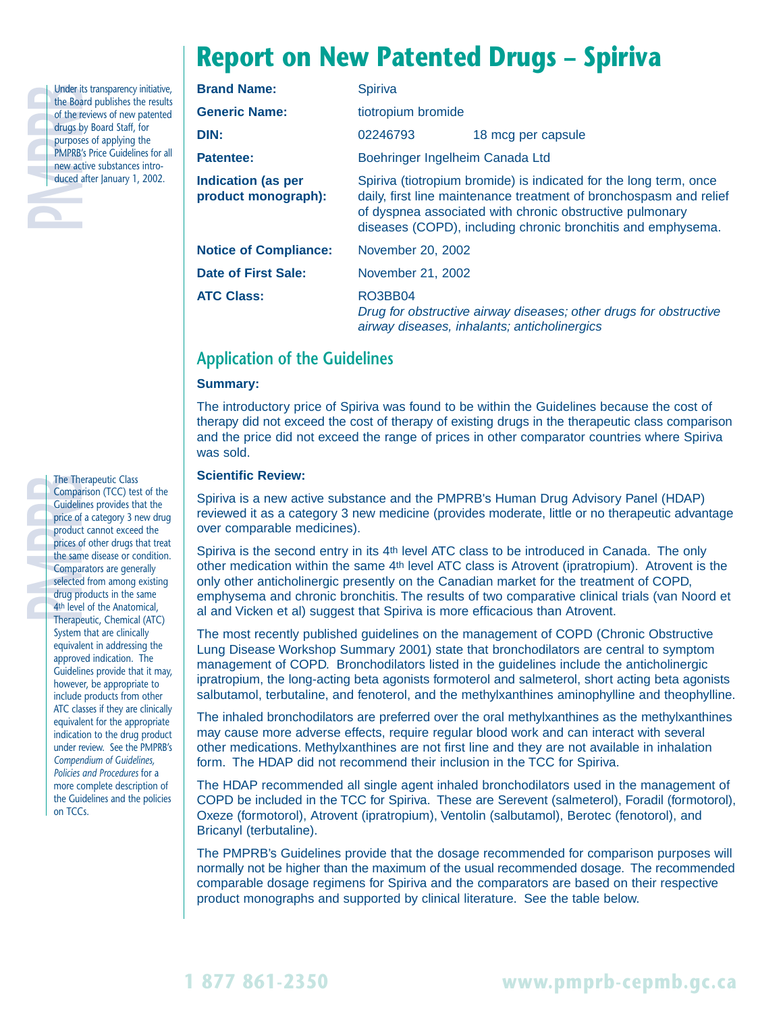# **Report on New Patented Drugs – Spiriva**

| しせくしょ  |
|--------|
|        |
|        |
| r<br>r |
|        |

Under its transparency initiative,<br>the Board publishes the results<br>of the reviews of new patented<br>drugs by Board Staff, for<br>purposes of applying the<br>PMPRB's Price Guidelines for all<br>new active substances intro-<br>duced after the Board publishes the results of the reviews of new patented drugs by Board Staff, for purposes of applying the PMPRB's Price Guidelines for all new active substances introduced after January 1, 2002.

| <b>Brand Name:</b>                               | Spiriva                                                                                                                                                                                                                                                             |                                                                                                                   |  |  |
|--------------------------------------------------|---------------------------------------------------------------------------------------------------------------------------------------------------------------------------------------------------------------------------------------------------------------------|-------------------------------------------------------------------------------------------------------------------|--|--|
| <b>Generic Name:</b>                             | tiotropium bromide                                                                                                                                                                                                                                                  |                                                                                                                   |  |  |
| DIN:                                             | 02246793                                                                                                                                                                                                                                                            | 18 mcg per capsule                                                                                                |  |  |
| Patentee:                                        | Boehringer Ingelheim Canada Ltd                                                                                                                                                                                                                                     |                                                                                                                   |  |  |
| <b>Indication (as per</b><br>product monograph): | Spiriva (tiotropium bromide) is indicated for the long term, once<br>daily, first line maintenance treatment of bronchospasm and relief<br>of dyspnea associated with chronic obstructive pulmonary<br>diseases (COPD), including chronic bronchitis and emphysema. |                                                                                                                   |  |  |
| <b>Notice of Compliance:</b>                     | November 20, 2002                                                                                                                                                                                                                                                   |                                                                                                                   |  |  |
| <b>Date of First Sale:</b>                       | November 21, 2002                                                                                                                                                                                                                                                   |                                                                                                                   |  |  |
| <b>ATC Class:</b>                                | RO3BB04                                                                                                                                                                                                                                                             | Drug for obstructive airway diseases; other drugs for obstructive<br>airway diseases, inhalants; anticholinergics |  |  |

# **Application of the Guidelines**

### **Summary:**

The introductory price of Spiriva was found to be within the Guidelines because the cost of therapy did not exceed the cost of therapy of existing drugs in the therapeutic class comparison and the price did not exceed the range of prices in other comparator countries where Spiriva was sold.

#### **Scientific Review:**

Spiriva is a new active substance and the PMPRB's Human Drug Advisory Panel (HDAP) reviewed it as a category 3 new medicine (provides moderate, little or no therapeutic advantage over comparable medicines).

Spiriva is the second entry in its 4th level ATC class to be introduced in Canada. The only other medication within the same 4th level ATC class is Atrovent (ipratropium). Atrovent is the only other anticholinergic presently on the Canadian market for the treatment of COPD, emphysema and chronic bronchitis. The results of two comparative clinical trials (van Noord et al and Vicken et al) suggest that Spiriva is more efficacious than Atrovent.

The most recently published guidelines on the management of COPD (Chronic Obstructive Lung Disease Workshop Summary 2001) state that bronchodilators are central to symptom management of COPD. Bronchodilators listed in the guidelines include the anticholinergic ipratropium, the long-acting beta agonists formoterol and salmeterol, short acting beta agonists salbutamol, terbutaline, and fenoterol, and the methylxanthines aminophylline and theophylline.

The inhaled bronchodilators are preferred over the oral methylxanthines as the methylxanthines may cause more adverse effects, require regular blood work and can interact with several other medications. Methylxanthines are not first line and they are not available in inhalation form. The HDAP did not recommend their inclusion in the TCC for Spiriva.

The HDAP recommended all single agent inhaled bronchodilators used in the management of COPD be included in the TCC for Spiriva. These are Serevent (salmeterol), Foradil (formotorol), Oxeze (formotorol), Atrovent (ipratropium), Ventolin (salbutamol), Berotec (fenotorol), and Bricanyl (terbutaline).

The PMPRB's Guidelines provide that the dosage recommended for comparison purposes will normally not be higher than the maximum of the usual recommended dosage. The recommended comparable dosage regimens for Spiriva and the comparators are based on their respective product monographs and supported by clinical literature. See the table below.

The Therapeutic Class<br>
Comparison (TCC) tes<br>
Guidelines provides th<br>
price of a category 3 r<br>
product cannot excee<br>
prices of other drugs t<br>
the same disease or co<br>
comparators are genes<br>
selected from among<br>
drug products Comparison (TCC) test of the Guidelines provides that the price of a category 3 new drug product cannot exceed the prices of other drugs that treat the same disease or condition. Comparators are generally selected from among existing drug products in the same 4th level of the Anatomical, Therapeutic, Chemical (ATC) System that are clinically equivalent in addressing the approved indication. The Guidelines provide that it may, however, be appropriate to include products from other ATC classes if they are clinically equivalent for the appropriate indication to the drug product under review. See the PMPRB's *Compendium of Guidelines, Policies and Procedures* for a more complete description of the Guidelines and the policies on TCCs.

**1 877 861-2350 www.pmprb-cepmb.gc.ca**